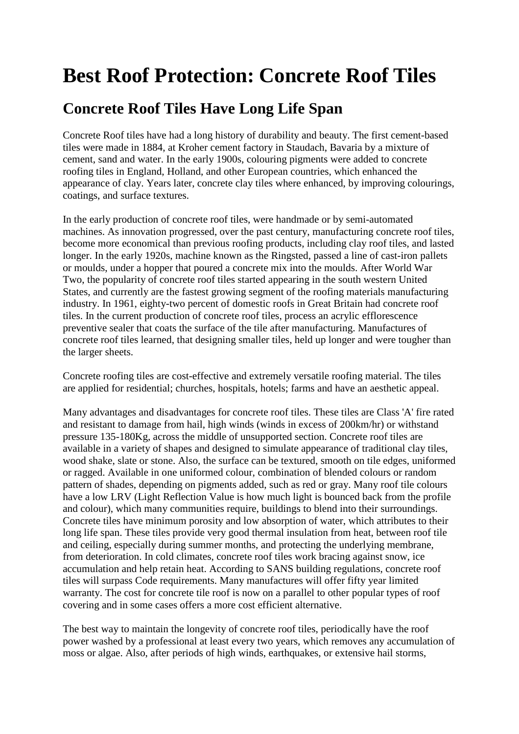## **Best Roof Protection: Concrete Roof Tiles**

## **Concrete Roof Tiles Have Long Life Span**

Concrete Roof tiles have had a long history of durability and beauty. The first cement-based tiles were made in 1884, at Kroher cement factory in Staudach, Bavaria by a mixture of cement, sand and water. In the early 1900s, colouring pigments were added to concrete roofing tiles in England, Holland, and other European countries, which enhanced the appearance of clay. Years later, concrete clay tiles where enhanced, by improving colourings, coatings, and surface textures.

In the early production of concrete roof tiles, were handmade or by semi-automated machines. As innovation progressed, over the past century, manufacturing concrete roof tiles, become more economical than previous roofing products, including clay roof tiles, and lasted longer. In the early 1920s, machine known as the Ringsted, passed a line of cast-iron pallets or moulds, under a hopper that poured a concrete mix into the moulds. After World War Two, the popularity of concrete roof tiles started appearing in the south western United States, and currently are the fastest growing segment of the roofing materials manufacturing industry. In 1961, eighty-two percent of domestic roofs in Great Britain had concrete roof tiles. In the current production of concrete roof tiles, process an acrylic efflorescence preventive sealer that coats the surface of the tile after manufacturing. Manufactures of concrete roof tiles learned, that designing smaller tiles, held up longer and were tougher than the larger sheets.

Concrete roofing tiles are cost-effective and extremely versatile roofing material. The tiles are applied for residential; churches, hospitals, hotels; farms and have an aesthetic appeal.

Many advantages and disadvantages for concrete roof tiles. These tiles are Class 'A' fire rated and resistant to damage from hail, high winds (winds in excess of 200km/hr) or withstand pressure 135-180Kg, across the middle of unsupported section. Concrete roof tiles are available in a variety of shapes and designed to simulate appearance of traditional clay tiles, wood shake, slate or stone. Also, the surface can be textured, smooth on tile edges, uniformed or ragged. Available in one uniformed colour, combination of blended colours or random pattern of shades, depending on pigments added, such as red or gray. Many roof tile colours have a low LRV (Light Reflection Value is how much light is bounced back from the profile and colour), which many communities require, buildings to blend into their surroundings. Concrete tiles have minimum porosity and low absorption of water, which attributes to their long life span. These tiles provide very good thermal insulation from heat, between roof tile and ceiling, especially during summer months, and protecting the underlying membrane, from deterioration. In cold climates, concrete roof tiles work bracing against snow, ice accumulation and help retain heat. According to SANS building regulations, concrete roof tiles will surpass Code requirements. Many manufactures will offer fifty year limited warranty. The cost for concrete tile roof is now on a parallel to other popular types of roof covering and in some cases offers a more cost efficient alternative.

The best way to maintain the longevity of concrete roof tiles, periodically have the roof power washed by a professional at least every two years, which removes any accumulation of moss or algae. Also, after periods of high winds, earthquakes, or extensive hail storms,